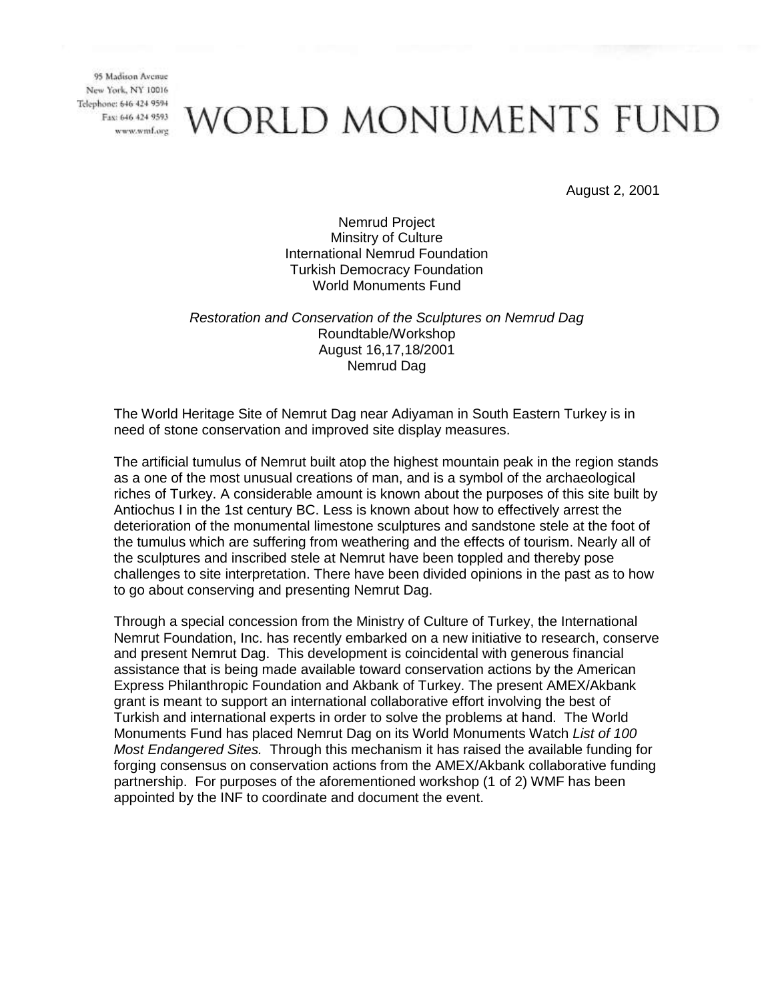## WORLD MONUMENTS FUND

August 2, 2001

Nemrud Project Minsitry of Culture International Nemrud Foundation Turkish Democracy Foundation World Monuments Fund

#### *Restoration and Conservation of the Sculptures on Nemrud Dag* Roundtable/Workshop August 16,17,18/2001 Nemrud Dag

The World Heritage Site of Nemrut Dag near Adiyaman in South Eastern Turkey is in need of stone conservation and improved site display measures.

The artificial tumulus of Nemrut built atop the highest mountain peak in the region stands as a one of the most unusual creations of man, and is a symbol of the archaeological riches of Turkey. A considerable amount is known about the purposes of this site built by Antiochus I in the 1st century BC. Less is known about how to effectively arrest the deterioration of the monumental limestone sculptures and sandstone stele at the foot of the tumulus which are suffering from weathering and the effects of tourism. Nearly all of the sculptures and inscribed stele at Nemrut have been toppled and thereby pose challenges to site interpretation. There have been divided opinions in the past as to how to go about conserving and presenting Nemrut Dag.

Through a special concession from the Ministry of Culture of Turkey, the International Nemrut Foundation, Inc. has recently embarked on a new initiative to research, conserve and present Nemrut Dag. This development is coincidental with generous financial assistance that is being made available toward conservation actions by the American Express Philanthropic Foundation and Akbank of Turkey. The present AMEX/Akbank grant is meant to support an international collaborative effort involving the best of Turkish and international experts in order to solve the problems at hand. The World Monuments Fund has placed Nemrut Dag on its World Monuments Watch *List of 100 Most Endangered Sites.* Through this mechanism it has raised the available funding for forging consensus on conservation actions from the AMEX/Akbank collaborative funding partnership. For purposes of the aforementioned workshop (1 of 2) WMF has been appointed by the INF to coordinate and document the event.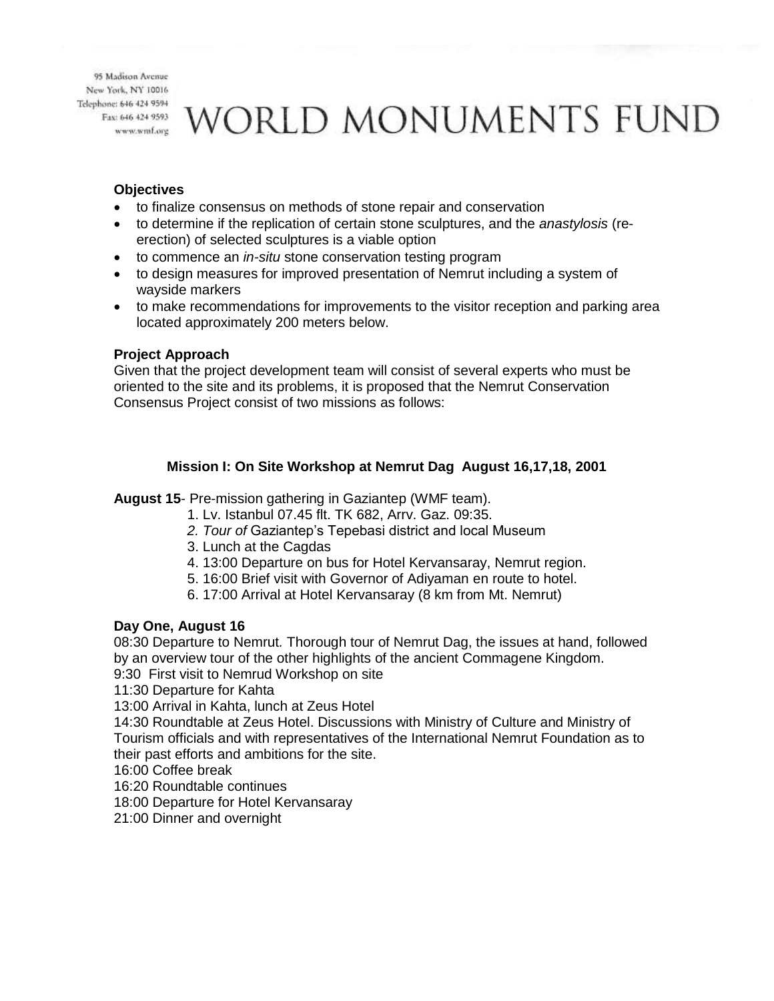WORLD MONUMENTS FUND

#### **Objectives**

- to finalize consensus on methods of stone repair and conservation
- to determine if the replication of certain stone sculptures, and the *anastylosis* (reerection) of selected sculptures is a viable option
- to commence an *in-situ* stone conservation testing program
- to design measures for improved presentation of Nemrut including a system of wayside markers
- to make recommendations for improvements to the visitor reception and parking area located approximately 200 meters below.

#### **Project Approach**

Given that the project development team will consist of several experts who must be oriented to the site and its problems, it is proposed that the Nemrut Conservation Consensus Project consist of two missions as follows:

## **Mission I: On Site Workshop at Nemrut Dag August 16,17,18, 2001**

**August 15**- Pre-mission gathering in Gaziantep (WMF team).

- 1. Lv. Istanbul 07.45 flt. TK 682, Arrv. Gaz. 09:35.
- *2. Tour of* Gaziantep's Tepebasi district and local Museum
- 3. Lunch at the Cagdas
- 4. 13:00 Departure on bus for Hotel Kervansaray, Nemrut region.
- 5. 16:00 Brief visit with Governor of Adiyaman en route to hotel.
- 6. 17:00 Arrival at Hotel Kervansaray (8 km from Mt. Nemrut)

## **Day One, August 16**

08:30 Departure to Nemrut*.* Thorough tour of Nemrut Dag, the issues at hand, followed by an overview tour of the other highlights of the ancient Commagene Kingdom.

9:30 First visit to Nemrud Workshop on site

11:30 Departure for Kahta

13:00 Arrival in Kahta, lunch at Zeus Hotel

14:30 Roundtable at Zeus Hotel. Discussions with Ministry of Culture and Ministry of Tourism officials and with representatives of the International Nemrut Foundation as to their past efforts and ambitions for the site.

16:00 Coffee break

16:20 Roundtable continues

18:00 Departure for Hotel Kervansaray

21:00 Dinner and overnight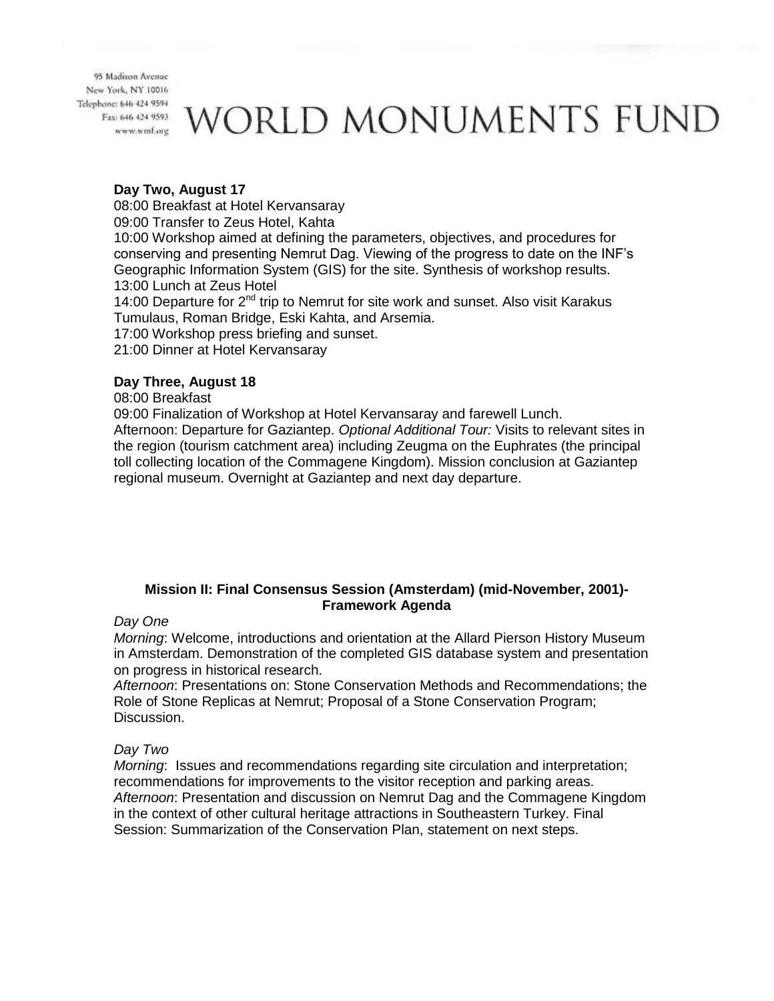# WORLD MONUMENTS FUND

### **Day Two, August 17**

08:00 Breakfast at Hotel Kervansaray

09:00 Transfer to Zeus Hotel, Kahta

10:00 Workshop aimed at defining the parameters, objectives, and procedures for conserving and presenting Nemrut Dag. Viewing of the progress to date on the INF's Geographic Information System (GIS) for the site. Synthesis of workshop results. 13:00 Lunch at Zeus Hotel

14:00 Departure for 2<sup>nd</sup> trip to Nemrut for site work and sunset. Also visit Karakus Tumulaus, Roman Bridge, Eski Kahta, and Arsemia.

17:00 Workshop press briefing and sunset.

21:00 Dinner at Hotel Kervansaray

## **Day Three, August 18**

08:00 Breakfast

09:00 Finalization of Workshop at Hotel Kervansaray and farewell Lunch. Afternoon: Departure for Gaziantep. *Optional Additional Tour:* Visits to relevant sites in the region (tourism catchment area) including Zeugma on the Euphrates (the principal toll collecting location of the Commagene Kingdom). Mission conclusion at Gaziantep regional museum. Overnight at Gaziantep and next day departure.

## **Mission II: Final Consensus Session (Amsterdam) (mid-November, 2001)- Framework Agenda**

#### *Day One*

*Morning*: Welcome, introductions and orientation at the Allard Pierson History Museum in Amsterdam. Demonstration of the completed GIS database system and presentation on progress in historical research.

*Afternoon*: Presentations on: Stone Conservation Methods and Recommendations; the Role of Stone Replicas at Nemrut; Proposal of a Stone Conservation Program; Discussion.

## *Day Two*

*Morning*: Issues and recommendations regarding site circulation and interpretation; recommendations for improvements to the visitor reception and parking areas. *Afternoon*: Presentation and discussion on Nemrut Dag and the Commagene Kingdom in the context of other cultural heritage attractions in Southeastern Turkey. Final Session: Summarization of the Conservation Plan, statement on next steps.